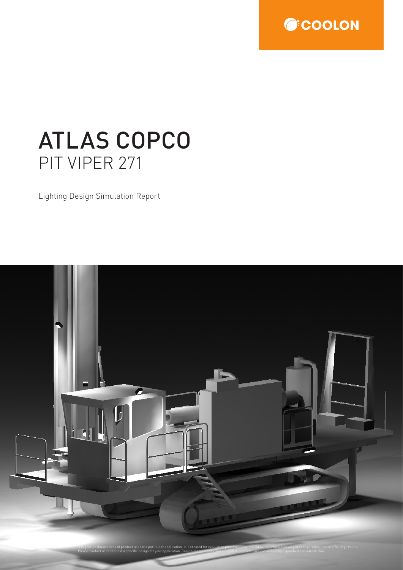

# ATLAS COPCO PIT VIPER 271

Lighting Design Simulation Report

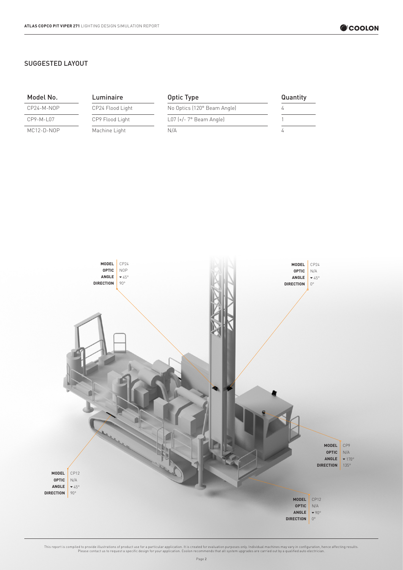### SUGGESTED LAYOUT

| Model No.  | Luminaire        | Optic Type                         | Quantity |
|------------|------------------|------------------------------------|----------|
| CP24-M-NOP | CP24 Flood Light | No Optics (120° Beam Angle)        |          |
| CP9-M-L07  | CP9 Flood Light  | $L07$ $(+/- 7^{\circ}$ Beam Angle) |          |
| MC12-D-NOP | Machine Light    | N/A                                |          |

![](_page_1_Figure_4.jpeg)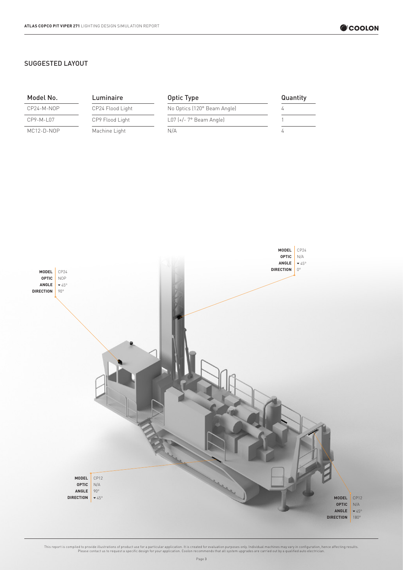### SUGGESTED LAYOUT

| Model No.   | Luminaire        | Optic Type                  | Quantity |
|-------------|------------------|-----------------------------|----------|
| CP24-M-NOP  | CP24 Flood Light | No Optics (120° Beam Angle) |          |
| $CP9-M-L07$ | CP9 Flood Light  | $L07$ (+/- 7° Beam Angle)   |          |
| MC12-D-NOP  | Machine Light    | N/A                         |          |

![](_page_2_Figure_4.jpeg)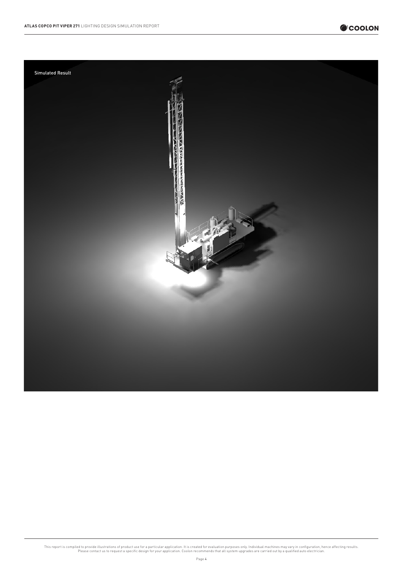![](_page_3_Picture_1.jpeg)

![](_page_3_Picture_2.jpeg)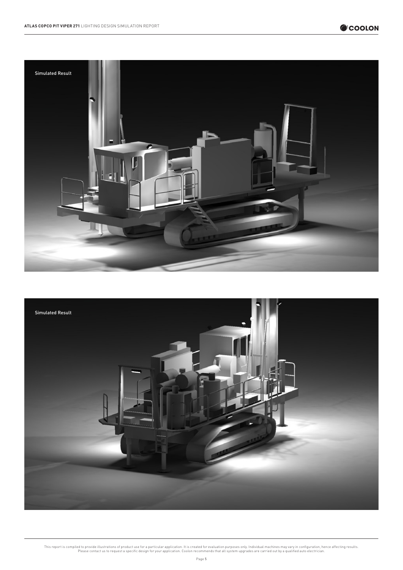![](_page_4_Picture_2.jpeg)

![](_page_4_Picture_3.jpeg)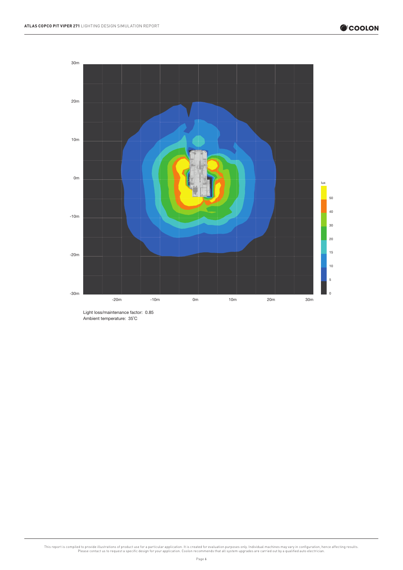![](_page_5_Figure_2.jpeg)

Light loss/maintenance factor: 0.85 Ambient temperature: 35°C